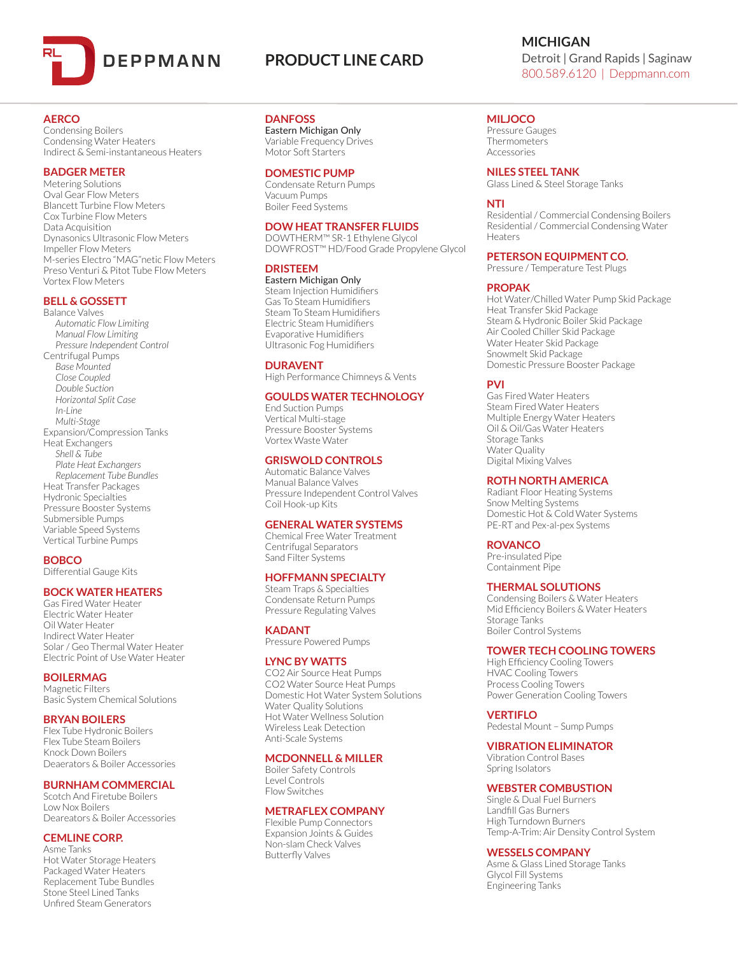

# **PRODUCT LINE CARD**

# **AERCO**

Condensing Boilers Condensing Water Heaters Indirect & Semi-instantaneous Heaters

# **BADGER METER**

Metering Solutions Oval Gear Flow Meters Blancett Turbine Flow Meters Cox Turbine Flow Meters Data Acquisition Dynasonics Ultrasonic Flow Meters Impeller Flow Meters M-series Electro "MAG"netic Flow Meters Preso Venturi & Pitot Tube Flow Meters Vortex Flow Meters

# **BELL & GOSSETT**

Balance Valves *Automatic Flow Limiting Manual Flow Limiting Pressure Independent Control* Centrifugal Pumps *Base Mounted Close Coupled Double Suction Horizontal Split Case In-Line Multi-Stage* Expansion/Compression Tanks Heat Exchangers *Shell & Tube Plate Heat Exchangers Replacement Tube Bundles* Heat Transfer Packages Hydronic Specialties Pressure Booster Systems Submersible Pumps Variable Speed Systems Vertical Turbine Pumps

# **BOBCO**

Differential Gauge Kits

#### **BOCK WATER HEATERS**

Gas Fired Water Heater Electric Water Heater Oil Water Heater Indirect Water Heater Solar / Geo Thermal Water Heater Electric Point of Use Water Heater

**BOILERMAG**

Magnetic Filters Basic System Chemical Solutions

## **BRYAN BOILERS**

Flex Tube Hydronic Boilers Flex Tube Steam Boilers Knock Down Boilers Deaerators & Boiler Accessories

## **BURNHAM COMMERCIAL**

Scotch And Firetube Boilers Low Nox Boilers Deareators & Boiler Accessories

## **CEMLINE CORP.**

Asme Tanks Hot Water Storage Heaters Packaged Water Heaters Replacement Tube Bundles Stone Steel Lined Tanks Unfired Steam Generators

## **DANFOSS**

Eastern Michigan Only Variable Frequency Drives Motor Soft Starters

# **DOMESTIC PUMP**

Condensate Return Pumps Vacuum Pumps Boiler Feed Systems

## **DOW HEAT TRANSFER FLUIDS**

DOWTHERM™ SR-1 Ethylene Glycol DOWFROST™ HD/Food Grade Propylene Glycol

## **DRISTEEM**

Eastern Michigan Only Steam Injection Humidifiers Gas To Steam Humidifiers Steam To Steam Humidifiers Electric Steam Humidifiers Evaporative Humidifiers Ultrasonic Fog Humidifiers

# **DURAVENT**

High Performance Chimneys & Vents

# **GOULDS WATER TECHNOLOGY**

End Suction Pumps Vertical Multi-stage Pressure Booster Systems Vortex Waste Water

# **GRISWOLD CONTROLS**

Automatic Balance Valves Manual Balance Valves Pressure Independent Control Valves Coil Hook-up Kits

# **GENERAL WATER SYSTEMS**

Chemical Free Water Treatment Centrifugal Separators Sand Filter Systems

### **HOFFMANN SPECIALTY**

Steam Traps & Specialties Condensate Return Pumps Pressure Regulating Valves

**KADANT** Pressure Powered Pumps

#### **LYNC BY WATTS**

CO2 Air Source Heat Pumps CO2 Water Source Heat Pumps Domestic Hot Water System Solutions Water Quality Solutions Hot Water Wellness Solution Wireless Leak Detection Anti-Scale Systems

#### **MCDONNELL & MILLER**

#### Boiler Safety Controls Level Controls

## Flow Switches

# **METRAFLEX COMPANY**

Flexible Pump Connectors Expansion Joints & Guides Non-slam Check Valves Butterfly Valves

# **MICHIGAN** Detroit | Grand Rapids | Saginaw 800.589.6120 | Deppmann.com

# **MILJOCO**

Pressure Gauges **Thermometers** Accessories

**NILES STEEL TANK**

Glass Lined & Steel Storage Tanks

#### **NTI**

Residential / Commercial Condensing Boilers Residential / Commercial Condensing Water Heaters

### **PETERSON EQUIPMENT CO.**

Pressure / Temperature Test Plugs

#### **PROPAK**

Hot Water/Chilled Water Pump Skid Package Heat Transfer Skid Package Steam & Hydronic Boiler Skid Package Air Cooled Chiller Skid Package Water Heater Skid Package Snowmelt Skid Package Domestic Pressure Booster Package

## **PVI**

Gas Fired Water Heaters Steam Fired Water Heaters Multiple Energy Water Heaters Oil & Oil/Gas Water Heaters Storage Tanks Water Quality Digital Mixing Valves

# **ROTH NORTH AMERICA**

Radiant Floor Heating Systems Snow Melting Systems Domestic Hot & Cold Water Systems PE-RT and Pex-al-pex Systems

## **ROVANCO**

Pre-insulated Pipe Containment Pipe

#### **THERMAL SOLUTIONS**

Condensing Boilers & Water Heaters Mid Efficiency Boilers & Water Heaters Storage Tanks Boiler Control Systems

### **TOWER TECH COOLING TOWERS**

High Efficiency Cooling Towers HVAC Cooling Towers Process Cooling Towers Power Generation Cooling Towers

#### **VERTIFLO**

Pedestal Mount – Sump Pumps

#### **VIBRATION ELIMINATOR**

Vibration Control Bases Spring Isolators

## **WEBSTER COMBUSTION**

Single & Dual Fuel Burners Landfill Gas Burners High Turndown Burners Temp-A-Trim: Air Density Control System

### **WESSELS COMPANY**

Asme & Glass Lined Storage Tanks Glycol Fill Systems Engineering Tanks